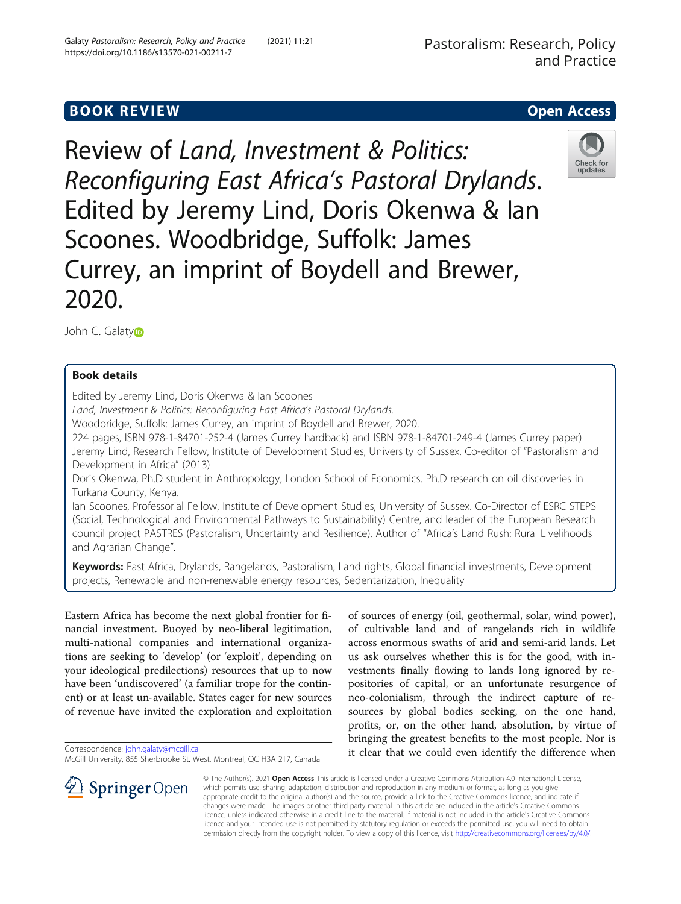# **BOOK REVIEW CONTROL** BOOK REVIEW

Review of Land, Investment & Politics: Reconfiguring East Africa's Pastoral Drylands. Edited by Jeremy Lind, Doris Okenwa & Ian Scoones. Woodbridge, Suffolk: James Currey, an imprint of Boydell and Brewer, 2020.



John G. Galat[y](http://orcid.org/0000-0002-4150-8092)<sub>D</sub>

## Book details

Edited by Jeremy Lind, Doris Okenwa & Ian Scoones

Land, Investment & Politics: Reconfiguring East Africa's Pastoral Drylands.

Woodbridge, Suffolk: James Currey, an imprint of Boydell and Brewer, 2020.

224 pages, ISBN 978-1-84701-252-4 (James Currey hardback) and ISBN 978-1-84701-249-4 (James Currey paper) Jeremy Lind, Research Fellow, Institute of Development Studies, University of Sussex. Co-editor of "Pastoralism and Development in Africa" (2013)

Doris Okenwa, Ph.D student in Anthropology, London School of Economics. Ph.D research on oil discoveries in Turkana County, Kenya.

Ian Scoones, Professorial Fellow, Institute of Development Studies, University of Sussex. Co-Director of ESRC STEPS (Social, Technological and Environmental Pathways to Sustainability) Centre, and leader of the European Research council project PASTRES (Pastoralism, Uncertainty and Resilience). Author of "Africa's Land Rush: Rural Livelihoods and Agrarian Change".

Keywords: East Africa, Drylands, Rangelands, Pastoralism, Land rights, Global financial investments, Development projects, Renewable and non-renewable energy resources, Sedentarization, Inequality

Eastern Africa has become the next global frontier for financial investment. Buoyed by neo-liberal legitimation, multi-national companies and international organizations are seeking to 'develop' (or 'exploit', depending on your ideological predilections) resources that up to now have been 'undiscovered' (a familiar trope for the continent) or at least un-available. States eager for new sources of revenue have invited the exploration and exploitation

Correspondence: [john.galaty@mcgill.ca](mailto:john.galaty@mcgill.ca)

of sources of energy (oil, geothermal, solar, wind power), of cultivable land and of rangelands rich in wildlife across enormous swaths of arid and semi-arid lands. Let us ask ourselves whether this is for the good, with investments finally flowing to lands long ignored by repositories of capital, or an unfortunate resurgence of neo-colonialism, through the indirect capture of resources by global bodies seeking, on the one hand, profits, or, on the other hand, absolution, by virtue of bringing the greatest benefits to the most people. Nor is it clear that we could even identify the difference when



© The Author(s). 2021 Open Access This article is licensed under a Creative Commons Attribution 4.0 International License, which permits use, sharing, adaptation, distribution and reproduction in any medium or format, as long as you give appropriate credit to the original author(s) and the source, provide a link to the Creative Commons licence, and indicate if changes were made. The images or other third party material in this article are included in the article's Creative Commons licence, unless indicated otherwise in a credit line to the material. If material is not included in the article's Creative Commons licence and your intended use is not permitted by statutory regulation or exceeds the permitted use, you will need to obtain permission directly from the copyright holder. To view a copy of this licence, visit <http://creativecommons.org/licenses/by/4.0/>.

McGill University, 855 Sherbrooke St. West, Montreal, QC H3A 2T7, Canada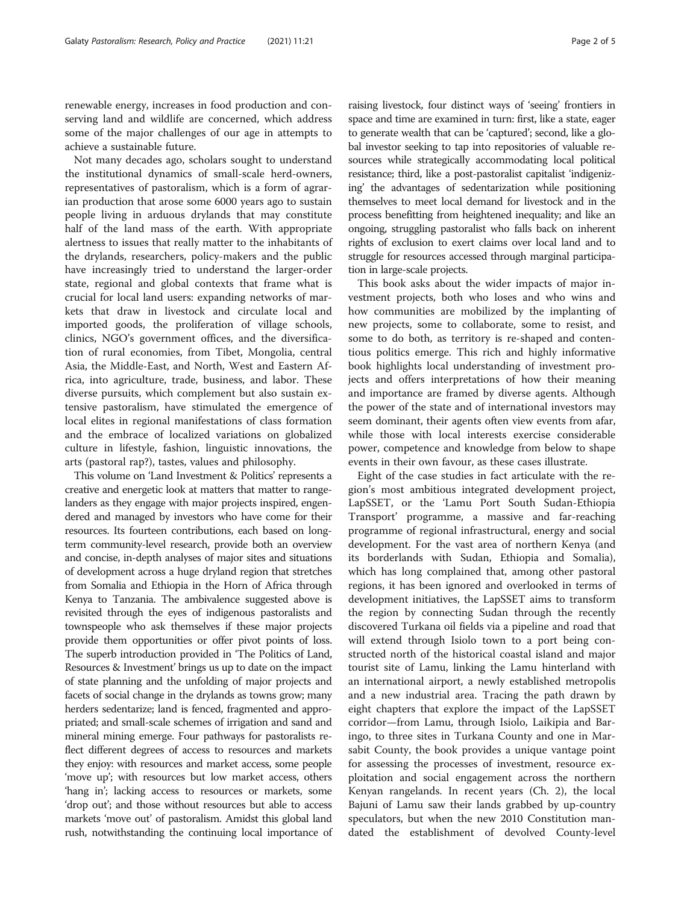achieve a sustainable future. Not many decades ago, scholars sought to understand the institutional dynamics of small-scale herd-owners, representatives of pastoralism, which is a form of agrarian production that arose some 6000 years ago to sustain people living in arduous drylands that may constitute half of the land mass of the earth. With appropriate alertness to issues that really matter to the inhabitants of the drylands, researchers, policy-makers and the public have increasingly tried to understand the larger-order state, regional and global contexts that frame what is crucial for local land users: expanding networks of markets that draw in livestock and circulate local and imported goods, the proliferation of village schools, clinics, NGO's government offices, and the diversification of rural economies, from Tibet, Mongolia, central Asia, the Middle-East, and North, West and Eastern Africa, into agriculture, trade, business, and labor. These diverse pursuits, which complement but also sustain extensive pastoralism, have stimulated the emergence of local elites in regional manifestations of class formation and the embrace of localized variations on globalized culture in lifestyle, fashion, linguistic innovations, the arts (pastoral rap?), tastes, values and philosophy.

This volume on 'Land Investment & Politics' represents a creative and energetic look at matters that matter to rangelanders as they engage with major projects inspired, engendered and managed by investors who have come for their resources. Its fourteen contributions, each based on longterm community-level research, provide both an overview and concise, in-depth analyses of major sites and situations of development across a huge dryland region that stretches from Somalia and Ethiopia in the Horn of Africa through Kenya to Tanzania. The ambivalence suggested above is revisited through the eyes of indigenous pastoralists and townspeople who ask themselves if these major projects provide them opportunities or offer pivot points of loss. The superb introduction provided in 'The Politics of Land, Resources & Investment' brings us up to date on the impact of state planning and the unfolding of major projects and facets of social change in the drylands as towns grow; many herders sedentarize; land is fenced, fragmented and appropriated; and small-scale schemes of irrigation and sand and mineral mining emerge. Four pathways for pastoralists reflect different degrees of access to resources and markets they enjoy: with resources and market access, some people 'move up'; with resources but low market access, others 'hang in'; lacking access to resources or markets, some 'drop out'; and those without resources but able to access markets 'move out' of pastoralism. Amidst this global land rush, notwithstanding the continuing local importance of raising livestock, four distinct ways of 'seeing' frontiers in space and time are examined in turn: first, like a state, eager to generate wealth that can be 'captured'; second, like a global investor seeking to tap into repositories of valuable resources while strategically accommodating local political resistance; third, like a post-pastoralist capitalist 'indigenizing' the advantages of sedentarization while positioning themselves to meet local demand for livestock and in the process benefitting from heightened inequality; and like an ongoing, struggling pastoralist who falls back on inherent rights of exclusion to exert claims over local land and to struggle for resources accessed through marginal participation in large-scale projects.

This book asks about the wider impacts of major investment projects, both who loses and who wins and how communities are mobilized by the implanting of new projects, some to collaborate, some to resist, and some to do both, as territory is re-shaped and contentious politics emerge. This rich and highly informative book highlights local understanding of investment projects and offers interpretations of how their meaning and importance are framed by diverse agents. Although the power of the state and of international investors may seem dominant, their agents often view events from afar, while those with local interests exercise considerable power, competence and knowledge from below to shape events in their own favour, as these cases illustrate.

Eight of the case studies in fact articulate with the region's most ambitious integrated development project, LapSSET, or the 'Lamu Port South Sudan-Ethiopia Transport' programme, a massive and far-reaching programme of regional infrastructural, energy and social development. For the vast area of northern Kenya (and its borderlands with Sudan, Ethiopia and Somalia), which has long complained that, among other pastoral regions, it has been ignored and overlooked in terms of development initiatives, the LapSSET aims to transform the region by connecting Sudan through the recently discovered Turkana oil fields via a pipeline and road that will extend through Isiolo town to a port being constructed north of the historical coastal island and major tourist site of Lamu, linking the Lamu hinterland with an international airport, a newly established metropolis and a new industrial area. Tracing the path drawn by eight chapters that explore the impact of the LapSSET corridor—from Lamu, through Isiolo, Laikipia and Baringo, to three sites in Turkana County and one in Marsabit County, the book provides a unique vantage point for assessing the processes of investment, resource exploitation and social engagement across the northern Kenyan rangelands. In recent years (Ch. 2), the local Bajuni of Lamu saw their lands grabbed by up-country speculators, but when the new 2010 Constitution mandated the establishment of devolved County-level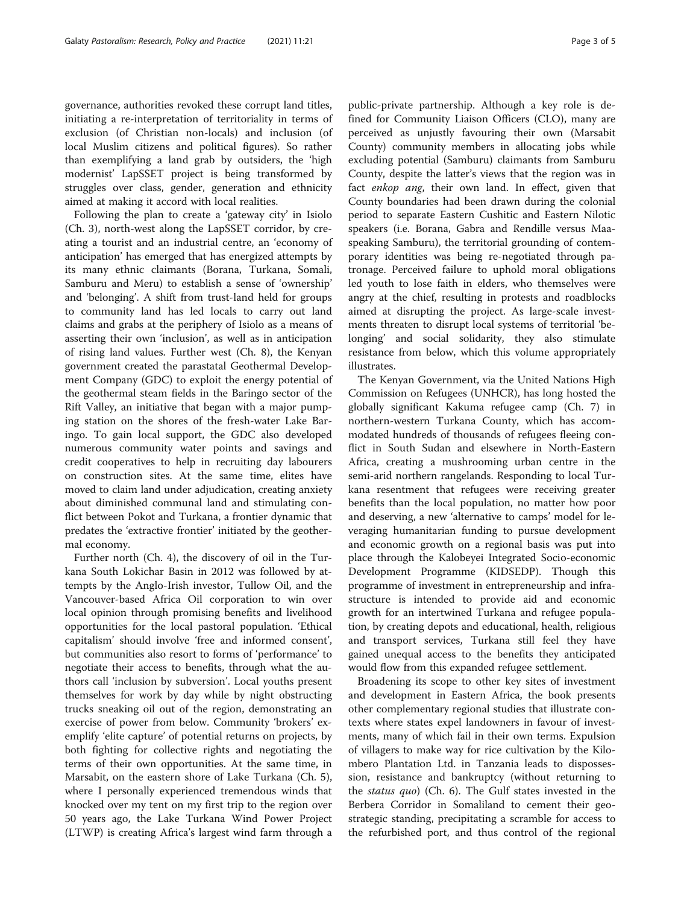governance, authorities revoked these corrupt land titles, initiating a re-interpretation of territoriality in terms of exclusion (of Christian non-locals) and inclusion (of local Muslim citizens and political figures). So rather than exemplifying a land grab by outsiders, the 'high modernist' LapSSET project is being transformed by struggles over class, gender, generation and ethnicity aimed at making it accord with local realities.

Following the plan to create a 'gateway city' in Isiolo (Ch. 3), north-west along the LapSSET corridor, by creating a tourist and an industrial centre, an 'economy of anticipation' has emerged that has energized attempts by its many ethnic claimants (Borana, Turkana, Somali, Samburu and Meru) to establish a sense of 'ownership' and 'belonging'. A shift from trust-land held for groups to community land has led locals to carry out land claims and grabs at the periphery of Isiolo as a means of asserting their own 'inclusion', as well as in anticipation of rising land values. Further west (Ch. 8), the Kenyan government created the parastatal Geothermal Development Company (GDC) to exploit the energy potential of the geothermal steam fields in the Baringo sector of the Rift Valley, an initiative that began with a major pumping station on the shores of the fresh-water Lake Baringo. To gain local support, the GDC also developed numerous community water points and savings and credit cooperatives to help in recruiting day labourers on construction sites. At the same time, elites have moved to claim land under adjudication, creating anxiety about diminished communal land and stimulating conflict between Pokot and Turkana, a frontier dynamic that predates the 'extractive frontier' initiated by the geothermal economy.

Further north (Ch. 4), the discovery of oil in the Turkana South Lokichar Basin in 2012 was followed by attempts by the Anglo-Irish investor, Tullow Oil, and the Vancouver-based Africa Oil corporation to win over local opinion through promising benefits and livelihood opportunities for the local pastoral population. 'Ethical capitalism' should involve 'free and informed consent', but communities also resort to forms of 'performance' to negotiate their access to benefits, through what the authors call 'inclusion by subversion'. Local youths present themselves for work by day while by night obstructing trucks sneaking oil out of the region, demonstrating an exercise of power from below. Community 'brokers' exemplify 'elite capture' of potential returns on projects, by both fighting for collective rights and negotiating the terms of their own opportunities. At the same time, in Marsabit, on the eastern shore of Lake Turkana (Ch. 5), where I personally experienced tremendous winds that knocked over my tent on my first trip to the region over 50 years ago, the Lake Turkana Wind Power Project (LTWP) is creating Africa's largest wind farm through a public-private partnership. Although a key role is defined for Community Liaison Officers (CLO), many are perceived as unjustly favouring their own (Marsabit County) community members in allocating jobs while excluding potential (Samburu) claimants from Samburu County, despite the latter's views that the region was in fact enkop ang, their own land. In effect, given that County boundaries had been drawn during the colonial period to separate Eastern Cushitic and Eastern Nilotic speakers (i.e. Borana, Gabra and Rendille versus Maaspeaking Samburu), the territorial grounding of contemporary identities was being re-negotiated through patronage. Perceived failure to uphold moral obligations led youth to lose faith in elders, who themselves were angry at the chief, resulting in protests and roadblocks aimed at disrupting the project. As large-scale investments threaten to disrupt local systems of territorial 'belonging' and social solidarity, they also stimulate resistance from below, which this volume appropriately illustrates.

The Kenyan Government, via the United Nations High Commission on Refugees (UNHCR), has long hosted the globally significant Kakuma refugee camp (Ch. 7) in northern-western Turkana County, which has accommodated hundreds of thousands of refugees fleeing conflict in South Sudan and elsewhere in North-Eastern Africa, creating a mushrooming urban centre in the semi-arid northern rangelands. Responding to local Turkana resentment that refugees were receiving greater benefits than the local population, no matter how poor and deserving, a new 'alternative to camps' model for leveraging humanitarian funding to pursue development and economic growth on a regional basis was put into place through the Kalobeyei Integrated Socio-economic Development Programme (KIDSEDP). Though this programme of investment in entrepreneurship and infrastructure is intended to provide aid and economic growth for an intertwined Turkana and refugee population, by creating depots and educational, health, religious and transport services, Turkana still feel they have gained unequal access to the benefits they anticipated would flow from this expanded refugee settlement.

Broadening its scope to other key sites of investment and development in Eastern Africa, the book presents other complementary regional studies that illustrate contexts where states expel landowners in favour of investments, many of which fail in their own terms. Expulsion of villagers to make way for rice cultivation by the Kilombero Plantation Ltd. in Tanzania leads to dispossession, resistance and bankruptcy (without returning to the status quo) (Ch. 6). The Gulf states invested in the Berbera Corridor in Somaliland to cement their geostrategic standing, precipitating a scramble for access to the refurbished port, and thus control of the regional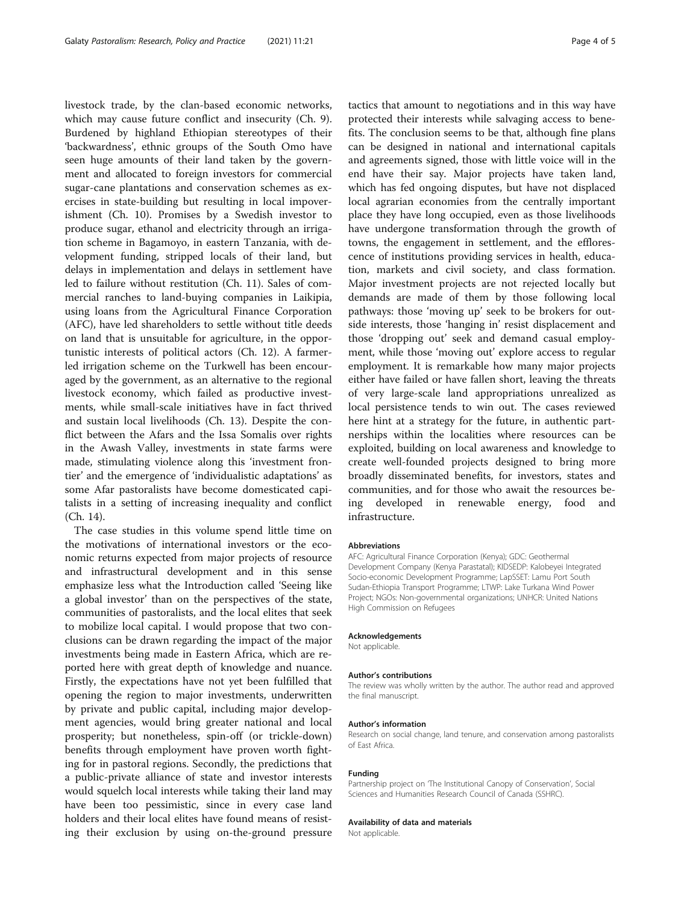livestock trade, by the clan-based economic networks, which may cause future conflict and insecurity (Ch. 9). Burdened by highland Ethiopian stereotypes of their 'backwardness', ethnic groups of the South Omo have seen huge amounts of their land taken by the government and allocated to foreign investors for commercial sugar-cane plantations and conservation schemes as exercises in state-building but resulting in local impoverishment (Ch. 10). Promises by a Swedish investor to produce sugar, ethanol and electricity through an irrigation scheme in Bagamoyo, in eastern Tanzania, with development funding, stripped locals of their land, but delays in implementation and delays in settlement have led to failure without restitution (Ch. 11). Sales of commercial ranches to land-buying companies in Laikipia, using loans from the Agricultural Finance Corporation (AFC), have led shareholders to settle without title deeds on land that is unsuitable for agriculture, in the opportunistic interests of political actors (Ch. 12). A farmerled irrigation scheme on the Turkwell has been encouraged by the government, as an alternative to the regional livestock economy, which failed as productive investments, while small-scale initiatives have in fact thrived and sustain local livelihoods (Ch. 13). Despite the conflict between the Afars and the Issa Somalis over rights in the Awash Valley, investments in state farms were made, stimulating violence along this 'investment frontier' and the emergence of 'individualistic adaptations' as some Afar pastoralists have become domesticated capitalists in a setting of increasing inequality and conflict (Ch. 14).

The case studies in this volume spend little time on the motivations of international investors or the economic returns expected from major projects of resource and infrastructural development and in this sense emphasize less what the Introduction called 'Seeing like a global investor' than on the perspectives of the state, communities of pastoralists, and the local elites that seek to mobilize local capital. I would propose that two conclusions can be drawn regarding the impact of the major investments being made in Eastern Africa, which are reported here with great depth of knowledge and nuance. Firstly, the expectations have not yet been fulfilled that opening the region to major investments, underwritten by private and public capital, including major development agencies, would bring greater national and local prosperity; but nonetheless, spin-off (or trickle-down) benefits through employment have proven worth fighting for in pastoral regions. Secondly, the predictions that a public-private alliance of state and investor interests would squelch local interests while taking their land may have been too pessimistic, since in every case land holders and their local elites have found means of resisting their exclusion by using on-the-ground pressure

tactics that amount to negotiations and in this way have protected their interests while salvaging access to benefits. The conclusion seems to be that, although fine plans can be designed in national and international capitals and agreements signed, those with little voice will in the end have their say. Major projects have taken land, which has fed ongoing disputes, but have not displaced local agrarian economies from the centrally important place they have long occupied, even as those livelihoods have undergone transformation through the growth of towns, the engagement in settlement, and the efflorescence of institutions providing services in health, education, markets and civil society, and class formation. Major investment projects are not rejected locally but demands are made of them by those following local pathways: those 'moving up' seek to be brokers for outside interests, those 'hanging in' resist displacement and those 'dropping out' seek and demand casual employment, while those 'moving out' explore access to regular employment. It is remarkable how many major projects either have failed or have fallen short, leaving the threats of very large-scale land appropriations unrealized as local persistence tends to win out. The cases reviewed here hint at a strategy for the future, in authentic partnerships within the localities where resources can be exploited, building on local awareness and knowledge to create well-founded projects designed to bring more broadly disseminated benefits, for investors, states and communities, and for those who await the resources being developed in renewable energy, food and infrastructure.

### Abbreviations

AFC: Agricultural Finance Corporation (Kenya); GDC: Geothermal Development Company (Kenya Parastatal); KIDSEDP: Kalobeyei Integrated Socio-economic Development Programme; LapSSET: Lamu Port South Sudan-Ethiopia Transport Programme; LTWP: Lake Turkana Wind Power Project; NGOs: Non-governmental organizations; UNHCR: United Nations High Commission on Refugees

#### Acknowledgements

Not applicable.

#### Author's contributions

The review was wholly written by the author. The author read and approved the final manuscript.

#### Author's information

Research on social change, land tenure, and conservation among pastoralists of East Africa.

#### Funding

Partnership project on 'The Institutional Canopy of Conservation', Social Sciences and Humanities Research Council of Canada (SSHRC).

#### Availability of data and materials

Not applicable.